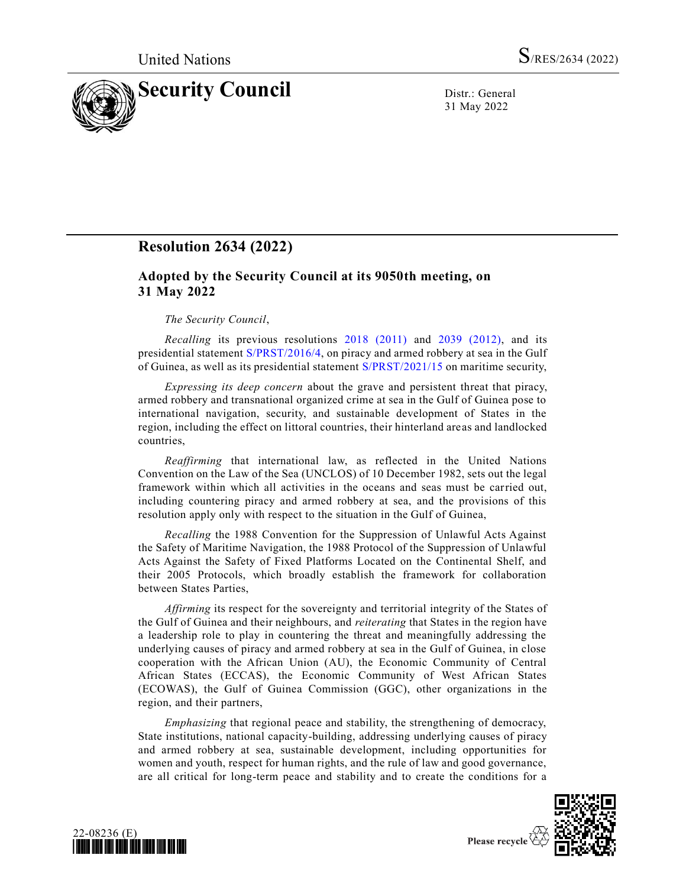

31 May 2022

## **Resolution 2634 (2022)**

## **Adopted by the Security Council at its 9050th meeting, on 31 May 2022**

## *The Security Council*,

*Recalling* its previous resolutions [2018 \(2011\)](https://undocs.org/en/S/RES/2018(2011)) and [2039 \(2012\),](https://undocs.org/en/S/RES/2039(2012)) and its presidential statemen[t S/PRST/2016/4,](https://undocs.org/en/S/PRST/2016/4) on piracy and armed robbery at sea in the Gulf of Guinea, as well as its presidential statement [S/PRST/2021/15](https://undocs.org/en/S/PRST/2021/15) on maritime security,

*Expressing its deep concern* about the grave and persistent threat that piracy, armed robbery and transnational organized crime at sea in the Gulf of Guinea pose to international navigation, security, and sustainable development of States in the region, including the effect on littoral countries, their hinterland areas and landlocked countries,

*Reaffirming* that international law, as reflected in the United Nations Convention on the Law of the Sea (UNCLOS) of 10 December 1982, sets out the legal framework within which all activities in the oceans and seas must be carried out, including countering piracy and armed robbery at sea, and the provisions of this resolution apply only with respect to the situation in the Gulf of Guinea,

*Recalling* the 1988 Convention for the Suppression of Unlawful Acts Against the Safety of Maritime Navigation, the 1988 Protocol of the Suppression of Unlawful Acts Against the Safety of Fixed Platforms Located on the Continental Shelf, and their 2005 Protocols, which broadly establish the framework for collaboration between States Parties,

*Affirming* its respect for the sovereignty and territorial integrity of the States of the Gulf of Guinea and their neighbours, and *reiterating* that States in the region have a leadership role to play in countering the threat and meaningfully addressing the underlying causes of piracy and armed robbery at sea in the Gulf of Guinea, in close cooperation with the African Union (AU), the Economic Community of Central African States (ECCAS), the Economic Community of West African States (ECOWAS), the Gulf of Guinea Commission (GGC), other organizations in the region, and their partners,

*Emphasizing* that regional peace and stability, the strengthening of democracy, State institutions, national capacity-building, addressing underlying causes of piracy and armed robbery at sea, sustainable development, including opportunities for women and youth, respect for human rights, and the rule of law and good governance, are all critical for long-term peace and stability and to create the conditions for a



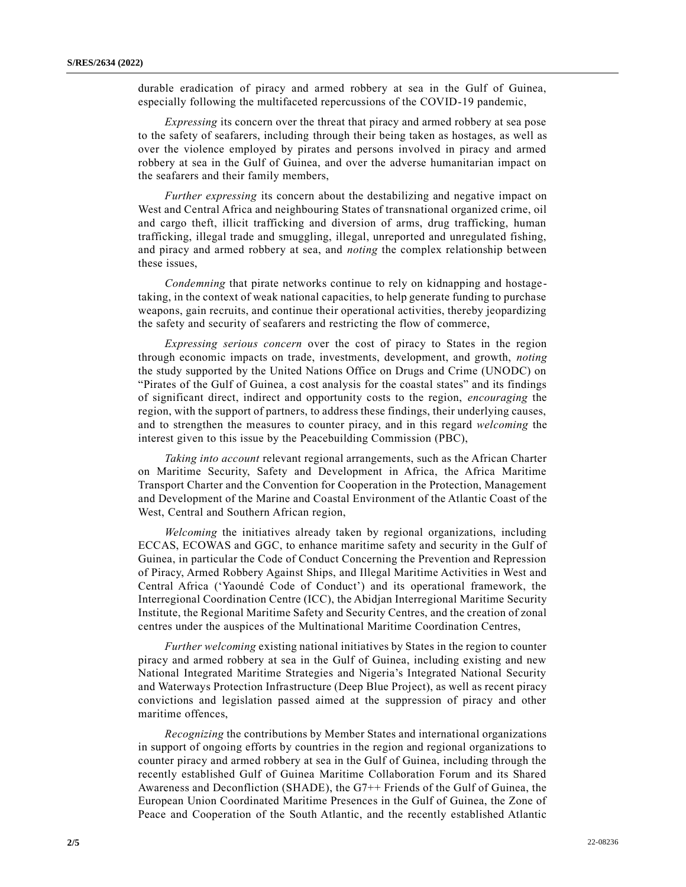durable eradication of piracy and armed robbery at sea in the Gulf of Guinea, especially following the multifaceted repercussions of the COVID-19 pandemic,

*Expressing* its concern over the threat that piracy and armed robbery at sea pose to the safety of seafarers, including through their being taken as hostages, as well as over the violence employed by pirates and persons involved in piracy and armed robbery at sea in the Gulf of Guinea, and over the adverse humanitarian impact on the seafarers and their family members,

*Further expressing* its concern about the destabilizing and negative impact on West and Central Africa and neighbouring States of transnational organized crime, oil and cargo theft, illicit trafficking and diversion of arms, drug trafficking, human trafficking, illegal trade and smuggling, illegal, unreported and unregulated fishing, and piracy and armed robbery at sea, and *noting* the complex relationship between these issues,

*Condemning* that pirate networks continue to rely on kidnapping and hostagetaking, in the context of weak national capacities, to help generate funding to purchase weapons, gain recruits, and continue their operational activities, thereby jeopardizing the safety and security of seafarers and restricting the flow of commerce,

*Expressing serious concern* over the cost of piracy to States in the region through economic impacts on trade, investments, development, and growth, *noting* the study supported by the United Nations Office on Drugs and Crime (UNODC) on "Pirates of the Gulf of Guinea, a cost analysis for the coastal states" and its findings of significant direct, indirect and opportunity costs to the region, *encouraging* the region, with the support of partners, to address these findings, their underlying causes, and to strengthen the measures to counter piracy, and in this regard *welcoming* the interest given to this issue by the Peacebuilding Commission (PBC),

*Taking into account* relevant regional arrangements, such as the African Charter on Maritime Security, Safety and Development in Africa, the Africa Maritime Transport Charter and the Convention for Cooperation in the Protection, Management and Development of the Marine and Coastal Environment of the Atlantic Coast of the West, Central and Southern African region,

*Welcoming* the initiatives already taken by regional organizations, including ECCAS, ECOWAS and GGC, to enhance maritime safety and security in the Gulf of Guinea, in particular the Code of Conduct Concerning the Prevention and Repression of Piracy, Armed Robbery Against Ships, and Illegal Maritime Activities in West and Central Africa ('Yaoundé Code of Conduct') and its operational framework, the Interregional Coordination Centre (ICC), the Abidjan Interregional Maritime Security Institute, the Regional Maritime Safety and Security Centres, and the creation of zonal centres under the auspices of the Multinational Maritime Coordination Centres,

*Further welcoming* existing national initiatives by States in the region to counter piracy and armed robbery at sea in the Gulf of Guinea, including existing and new National Integrated Maritime Strategies and Nigeria's Integrated National Security and Waterways Protection Infrastructure (Deep Blue Project), as well as recent piracy convictions and legislation passed aimed at the suppression of piracy and other maritime offences,

*Recognizing* the contributions by Member States and international organizations in support of ongoing efforts by countries in the region and regional organizations to counter piracy and armed robbery at sea in the Gulf of Guinea, including through the recently established Gulf of Guinea Maritime Collaboration Forum and its Shared Awareness and Deconfliction (SHADE), the G7++ Friends of the Gulf of Guinea, the European Union Coordinated Maritime Presences in the Gulf of Guinea, the Zone of Peace and Cooperation of the South Atlantic, and the recently established Atlantic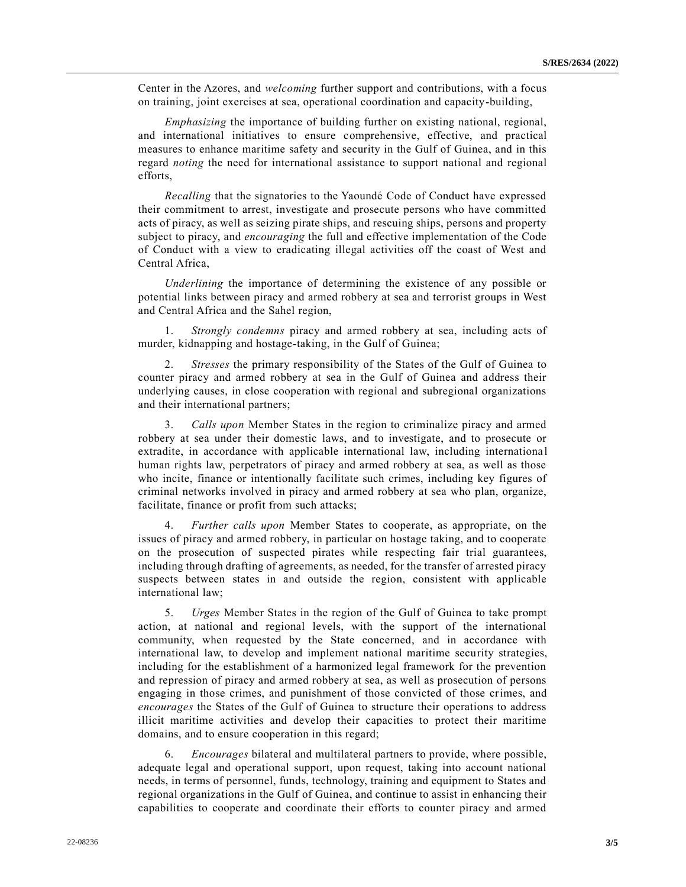Center in the Azores, and *welcoming* further support and contributions, with a focus on training, joint exercises at sea, operational coordination and capacity-building,

*Emphasizing* the importance of building further on existing national, regional, and international initiatives to ensure comprehensive, effective, and practical measures to enhance maritime safety and security in the Gulf of Guinea, and in this regard *noting* the need for international assistance to support national and regional efforts,

*Recalling* that the signatories to the Yaoundé Code of Conduct have expressed their commitment to arrest, investigate and prosecute persons who have committed acts of piracy, as well as seizing pirate ships, and rescuing ships, persons and property subject to piracy, and *encouraging* the full and effective implementation of the Code of Conduct with a view to eradicating illegal activities off the coast of West and Central Africa,

*Underlining* the importance of determining the existence of any possible or potential links between piracy and armed robbery at sea and terrorist groups in West and Central Africa and the Sahel region,

1. *Strongly condemns* piracy and armed robbery at sea, including acts of murder, kidnapping and hostage-taking, in the Gulf of Guinea;

2. *Stresses* the primary responsibility of the States of the Gulf of Guinea to counter piracy and armed robbery at sea in the Gulf of Guinea and address their underlying causes, in close cooperation with regional and subregional organizations and their international partners;

3. *Calls upon* Member States in the region to criminalize piracy and armed robbery at sea under their domestic laws, and to investigate, and to prosecute or extradite, in accordance with applicable international law, including internationa l human rights law, perpetrators of piracy and armed robbery at sea, as well as those who incite, finance or intentionally facilitate such crimes, including key figures of criminal networks involved in piracy and armed robbery at sea who plan, organize, facilitate, finance or profit from such attacks;

4. *Further calls upon* Member States to cooperate, as appropriate, on the issues of piracy and armed robbery, in particular on hostage taking, and to cooperate on the prosecution of suspected pirates while respecting fair trial guarantees, including through drafting of agreements, as needed, for the transfer of arrested piracy suspects between states in and outside the region, consistent with applicable international law;

5. *Urges* Member States in the region of the Gulf of Guinea to take prompt action, at national and regional levels, with the support of the international community, when requested by the State concerned, and in accordance with international law, to develop and implement national maritime security strategies, including for the establishment of a harmonized legal framework for the prevention and repression of piracy and armed robbery at sea, as well as prosecution of persons engaging in those crimes, and punishment of those convicted of those crimes, and *encourages* the States of the Gulf of Guinea to structure their operations to address illicit maritime activities and develop their capacities to protect their maritime domains, and to ensure cooperation in this regard;

6. *Encourages* bilateral and multilateral partners to provide, where possible, adequate legal and operational support, upon request, taking into account national needs, in terms of personnel, funds, technology, training and equipment to States and regional organizations in the Gulf of Guinea, and continue to assist in enhancing their capabilities to cooperate and coordinate their efforts to counter piracy and armed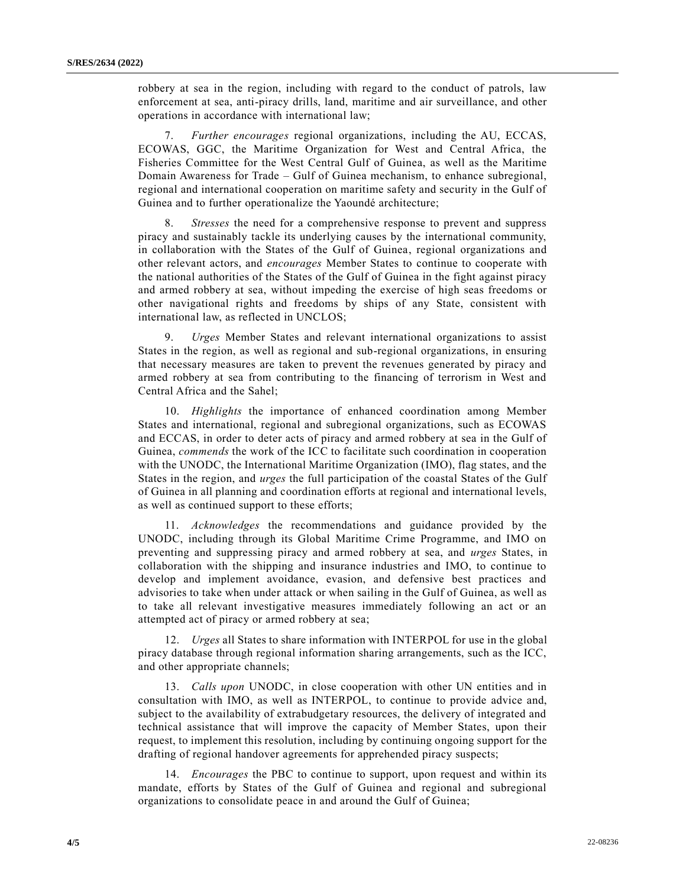robbery at sea in the region, including with regard to the conduct of patrols, law enforcement at sea, anti-piracy drills, land, maritime and air surveillance, and other operations in accordance with international law;

7. *Further encourages* regional organizations, including the AU, ECCAS, ECOWAS, GGC, the Maritime Organization for West and Central Africa, the Fisheries Committee for the West Central Gulf of Guinea, as well as the Maritime Domain Awareness for Trade – Gulf of Guinea mechanism, to enhance subregional, regional and international cooperation on maritime safety and security in the Gulf of Guinea and to further operationalize the Yaoundé architecture;

8. *Stresses* the need for a comprehensive response to prevent and suppress piracy and sustainably tackle its underlying causes by the international community, in collaboration with the States of the Gulf of Guinea, regional organizations and other relevant actors, and *encourages* Member States to continue to cooperate with the national authorities of the States of the Gulf of Guinea in the fight against piracy and armed robbery at sea, without impeding the exercise of high seas freedoms or other navigational rights and freedoms by ships of any State, consistent with international law, as reflected in UNCLOS;

9. *Urges* Member States and relevant international organizations to assist States in the region, as well as regional and sub-regional organizations, in ensuring that necessary measures are taken to prevent the revenues generated by piracy and armed robbery at sea from contributing to the financing of terrorism in West and Central Africa and the Sahel;

10. *Highlights* the importance of enhanced coordination among Member States and international, regional and subregional organizations, such as ECOWAS and ECCAS, in order to deter acts of piracy and armed robbery at sea in the Gulf of Guinea, *commends* the work of the ICC to facilitate such coordination in cooperation with the UNODC, the International Maritime Organization (IMO), flag states, and the States in the region, and *urges* the full participation of the coastal States of the Gulf of Guinea in all planning and coordination efforts at regional and international levels, as well as continued support to these efforts;

11. *Acknowledges* the recommendations and guidance provided by the UNODC, including through its Global Maritime Crime Programme, and IMO on preventing and suppressing piracy and armed robbery at sea, and *urges* States, in collaboration with the shipping and insurance industries and IMO, to continue to develop and implement avoidance, evasion, and defensive best practices and advisories to take when under attack or when sailing in the Gulf of Guinea, as well as to take all relevant investigative measures immediately following an act or an attempted act of piracy or armed robbery at sea;

12. *Urges* all States to share information with INTERPOL for use in the global piracy database through regional information sharing arrangements, such as the ICC, and other appropriate channels;

13. *Calls upon* UNODC, in close cooperation with other UN entities and in consultation with IMO, as well as INTERPOL, to continue to provide advice and, subject to the availability of extrabudgetary resources, the delivery of integrated and technical assistance that will improve the capacity of Member States, upon their request, to implement this resolution, including by continuing ongoing support for the drafting of regional handover agreements for apprehended piracy suspects;

14. *Encourages* the PBC to continue to support, upon request and within its mandate, efforts by States of the Gulf of Guinea and regional and subregional organizations to consolidate peace in and around the Gulf of Guinea;